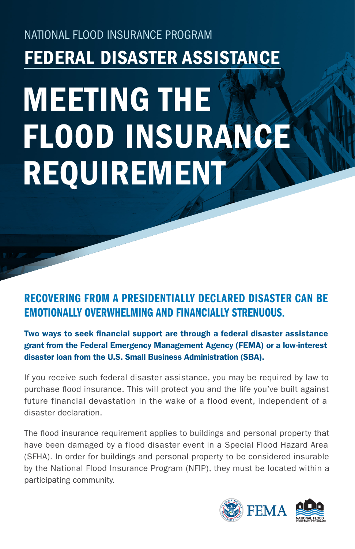## NATIONAL FLOOD INSURANCE PROGRAM FEDERAL DISASTER ASSISTANCE

# MEETING THE FLOOD INSURANCE REQUIREMENT

### RECOVERING FROM A PRESIDENTIALLY DECLARED DISASTER CAN BE EMOTIONALLY OVERWHELMING AND FINANCIALLY STRENUOUS.

Two ways to seek financial support are through a federal disaster assistance grant from the Federal Emergency Management Agency (FEMA) or a low-interest disaster loan from the U.S. Small Business Administration (SBA).

If you receive such federal disaster assistance, you may be required by law to purchase flood insurance. This will protect you and the life you've built against future financial devastation in the wake of a flood event, independent of a disaster declaration.

The flood insurance requirement applies to buildings and personal property that have been damaged by a flood disaster event in a Special Flood Hazard Area (SFHA). In order for buildings and personal property to be considered insurable by the National Flood Insurance Program (NFIP), they must be located within a participating community.

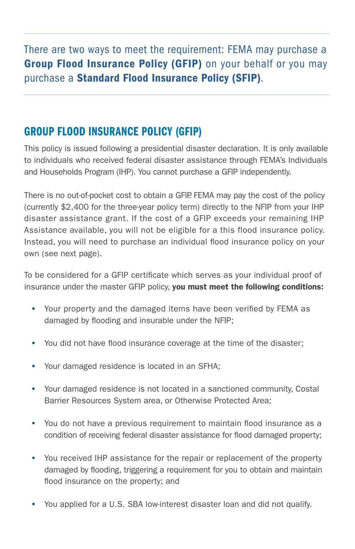There are two ways to meet the requirement: FEMA may purchase a Group Flood Insurance Policy (GFIP) on your behalf or you may purchase a Standard Flood Insurance Policy (SFIP).

#### GROUP FLOOD INSURANCE POLICY (GFIP)

This policy is issued following a presidential disaster declaration. It is only available to individuals who received federal disaster assistance through FEMA's Individuals and Households Program (IHP). You cannot purchase a GFIP independently.

There is no out-of-pocket cost to obtain a GFIP. FEMA may pay the cost of the policy (currently \$2,400 for the three-year policy term) directly to the NFIP from your IHP disaster assistance grant. If the cost of a GFIP exceeds your remaining IHP Assistance available, you will not be eligible for a this flood insurance policy. Instead, you will need to purchase an individual flood insurance policy on your own (see next page).

To be considered for a GFIP certificate which serves as your individual proof of insurance under the master GFIP policy, you must meet the following conditions:

- Your property and the damaged items have been verified by FEMA as damaged by flooding and insurable under the NFIP;
- You did not have flood insurance coverage at the time of the disaster;
- Your damaged residence is located in an SFHA;
- Your damaged residence is not located in a sanctioned community, Costal Barrier Resources System area, or Otherwise Protected Area;
- You do not have a previous requirement to maintain flood insurance as a condition of receiving federal disaster assistance for flood damaged property;
- You received IHP assistance for the repair or replacement of the property damaged by flooding, triggering a requirement for you to obtain and maintain flood insurance on the property; and
- You applied for a U.S. SBA low-interest disaster loan and did not qualify.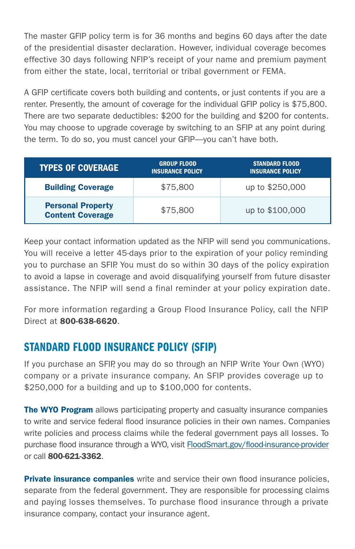The master GFIP policy term is for 36 months and begins 60 days after the date of the presidential disaster declaration. However, individual coverage becomes effective 30 days following NFIP's receipt of your name and premium payment from either the state, local, territorial or tribal government or FEMA.

A GFIP certificate covers both building and contents, or just contents if you are a renter. Presently, the amount of coverage for the individual GFIP policy is \$75,800. There are two separate deductibles: \$200 for the building and \$200 for contents. You may choose to upgrade coverage by switching to an SFIP at any point during the term. To do so, you must cancel your GFIP—you can't have both.

| <b>TYPES OF COVERAGE</b>                            | <b>GROUP FLOOD</b><br><b>INSURANCE POLICY</b> | <b>STANDARD FLOOD</b><br><b>INSURANCE POLICY</b> |
|-----------------------------------------------------|-----------------------------------------------|--------------------------------------------------|
| <b>Building Coverage</b>                            | \$75,800                                      | up to \$250,000                                  |
| <b>Personal Property</b><br><b>Content Coverage</b> | \$75,800                                      | up to \$100,000                                  |

Keep your contact information updated as the NFIP will send you communications. You will receive a letter 45-days prior to the expiration of your policy reminding you to purchase an SFIP. You must do so within 30 days of the policy expiration to avoid a lapse in coverage and avoid disqualifying yourself from future disaster assistance. The NFIP will send a final reminder at your policy expiration date.

For more information regarding a Group Flood Insurance Policy, call the NFIP Direct at 800-638-6620.

#### STANDARD FLOOD INSURANCE POLICY (SFIP)

If you purchase an SFIP, you may do so through an NFIP Write Your Own (WYO) company or a private insurance company. An SFIP provides coverage up to \$250,000 for a building and up to \$100,000 for contents.

**The WYO Program** allows participating property and casualty insurance companies to write and service federal flood insurance policies in their own names. Companies write policies and process claims while the federal government pays all losses. To purchase flood insurance through a WYO, visit [FloodSmart.gov/flood-insurance-provider](https://www.floodsmart.gov/flood-insurance-provider) or call 800-621-3362.

**Private insurance companies** write and service their own flood insurance policies, separate from the federal government. They are responsible for processing claims and paying losses themselves. To purchase flood insurance through a private insurance company, contact your insurance agent.